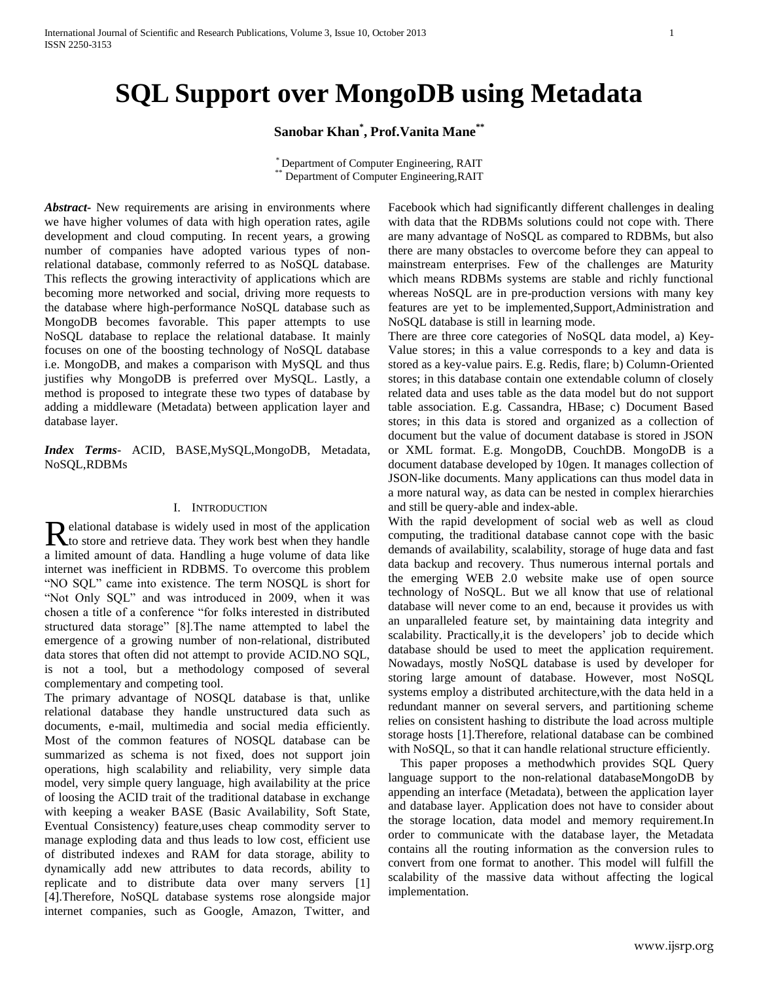# **SQL Support over MongoDB using Metadata**

**Sanobar Khan\* , Prof.Vanita Mane\*\***

\* Department of Computer Engineering, RAIT \*\* Department of Computer Engineering,RAIT

*Abstract***-** New requirements are arising in environments where we have higher volumes of data with high operation rates, agile development and cloud computing. In recent years, a growing number of companies have adopted various types of nonrelational database, commonly referred to as NoSQL database. This reflects the growing interactivity of applications which are becoming more networked and social, driving more requests to the database where high-performance NoSQL database such as MongoDB becomes favorable. This paper attempts to use NoSQL database to replace the relational database. It mainly focuses on one of the boosting technology of NoSQL database i.e. MongoDB, and makes a comparison with MySQL and thus justifies why MongoDB is preferred over MySQL. Lastly, a method is proposed to integrate these two types of database by adding a middleware (Metadata) between application layer and database layer.

*Index Terms*- ACID, BASE,MySQL,MongoDB, Metadata, NoSQL,RDBMs

## I. INTRODUCTION

elational database is widely used in most of the application Relational database is widely used in most of the application<br>to store and retrieve data. They work best when they handle a limited amount of data. Handling a huge volume of data like internet was inefficient in RDBMS. To overcome this problem "NO SQL" came into existence. The term NOSQL is short for "Not Only SQL" and was introduced in 2009, when it was chosen a title of a conference "for folks interested in distributed structured data storage" [8].The name attempted to label the emergence of a growing number of non-relational, distributed data stores that often did not attempt to provide ACID.NO SQL, is not a tool, but a methodology composed of several complementary and competing tool.

The primary advantage of NOSQL database is that, unlike relational database they handle unstructured data such as documents, e-mail, multimedia and social media efficiently. Most of the common features of NOSQL database can be summarized as schema is not fixed, does not support join operations, high scalability and reliability, very simple data model, very simple query language, high availability at the price of loosing the ACID trait of the traditional database in exchange with keeping a weaker BASE (Basic Availability, Soft State, Eventual Consistency) feature,uses cheap commodity server to manage exploding data and thus leads to low cost, efficient use of distributed indexes and RAM for data storage, ability to dynamically add new attributes to data records, ability to replicate and to distribute data over many servers [1] [4].Therefore, NoSQL database systems rose alongside major internet companies, such as Google, Amazon, Twitter, and

Facebook which had significantly different challenges in dealing with data that the RDBMs solutions could not cope with. There are many advantage of NoSQL as compared to RDBMs, but also there are many obstacles to overcome before they can appeal to mainstream enterprises. Few of the challenges are Maturity which means RDBMs systems are stable and richly functional whereas NoSQL are in pre-production versions with many key features are yet to be implemented,Support,Administration and NoSQL database is still in learning mode.

There are three core categories of NoSQL data model, a) Key-Value stores; in this a value corresponds to a key and data is stored as a key-value pairs. E.g. Redis, flare; b) Column-Oriented stores; in this database contain one extendable column of closely related data and uses table as the data model but do not support table association. E.g. Cassandra, HBase; c) Document Based stores; in this data is stored and organized as a collection of document but the value of document database is stored in JSON or XML format. E.g. MongoDB, CouchDB. MongoDB is a document database developed by 10gen. It manages collection of JSON-like documents. Many applications can thus model data in a more natural way, as data can be nested in complex hierarchies and still be query-able and index-able.

With the rapid development of social web as well as cloud computing, the traditional database cannot cope with the basic demands of availability, scalability, storage of huge data and fast data backup and recovery. Thus numerous internal portals and the emerging WEB 2.0 website make use of open source technology of NoSQL. But we all know that use of relational database will never come to an end, because it provides us with an unparalleled feature set, by maintaining data integrity and scalability. Practically,it is the developers' job to decide which database should be used to meet the application requirement. Nowadays, mostly NoSQL database is used by developer for storing large amount of database. However, most NoSQL systems employ a distributed architecture,with the data held in a redundant manner on several servers, and partitioning scheme relies on consistent hashing to distribute the load across multiple storage hosts [1].Therefore, relational database can be combined with NoSQL, so that it can handle relational structure efficiently.

 This paper proposes a methodwhich provides SQL Query language support to the non-relational databaseMongoDB by appending an interface (Metadata), between the application layer and database layer. Application does not have to consider about the storage location, data model and memory requirement.In order to communicate with the database layer, the Metadata contains all the routing information as the conversion rules to convert from one format to another. This model will fulfill the scalability of the massive data without affecting the logical implementation.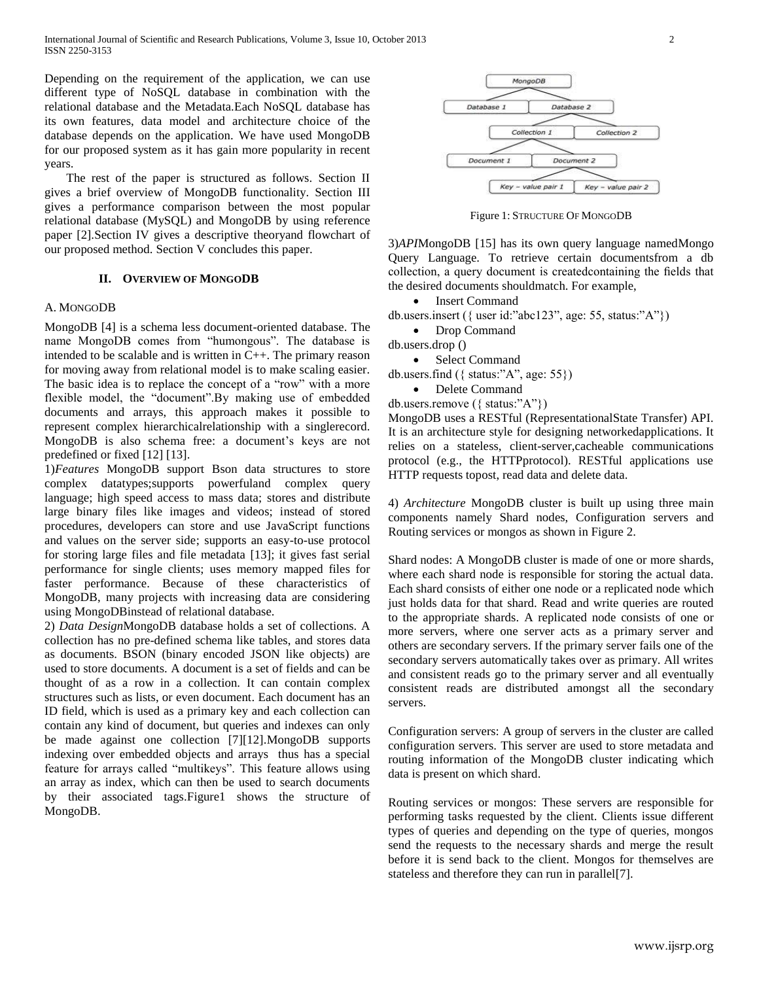Depending on the requirement of the application, we can use different type of NoSQL database in combination with the relational database and the Metadata.Each NoSQL database has its own features, data model and architecture choice of the database depends on the application. We have used MongoDB for our proposed system as it has gain more popularity in recent years.

 The rest of the paper is structured as follows. Section II gives a brief overview of MongoDB functionality. Section III gives a performance comparison between the most popular relational database (MySQL) and MongoDB by using reference paper [2].Section IV gives a descriptive theoryand flowchart of our proposed method. Section V concludes this paper.

# **II. OVERVIEW OF MONGODB**

# A. MONGODB

MongoDB [4] is a schema less document-oriented database. The name MongoDB comes from "humongous". The database is intended to be scalable and is written in C++. The primary reason for moving away from relational model is to make scaling easier. The basic idea is to replace the concept of a "row" with a more flexible model, the "document".By making use of embedded documents and arrays, this approach makes it possible to represent complex hierarchicalrelationship with a singlerecord. MongoDB is also schema free: a document's keys are not predefined or fixed [12] [13].

1)*Features* MongoDB support Bson data structures to store complex datatypes;supports powerfuland complex query language; high speed access to mass data; stores and distribute large binary files like images and videos; instead of stored procedures, developers can store and use JavaScript functions and values on the server side; supports an easy-to-use protocol for storing large files and file metadata [13]; it gives fast serial performance for single clients; uses memory mapped files for faster performance. Because of these characteristics of MongoDB, many projects with increasing data are considering using MongoDBinstead of relational database.

2) *Data Design*MongoDB database holds a set of collections. A collection has no pre-defined schema like tables, and stores data as documents. BSON (binary encoded JSON like objects) are used to store documents. A document is a set of fields and can be thought of as a row in a collection. It can contain complex structures such as lists, or even document. Each document has an ID field, which is used as a primary key and each collection can contain any kind of document, but queries and indexes can only be made against one collection [7][12].MongoDB supports indexing over embedded objects and arrays thus has a special feature for arrays called "multikeys". This feature allows using an array as index, which can then be used to search documents by their associated tags.Figure1 shows the structure of MongoDB.



Figure 1: STRUCTURE OF MONGODB

3)*API*MongoDB [15] has its own query language namedMongo Query Language. To retrieve certain documentsfrom a db collection, a query document is createdcontaining the fields that the desired documents shouldmatch. For example,

Insert Command

db.users.insert ( $\{$  user id:"abc123", age: 55, status:"A" $\})$ )

- Drop Command
- db.users.drop ()
	- Select Command

db.users.find  $({$  status:"A", age: 55 $})$ 

- Delete Command
- db.users.remove ({ status:"A"})

MongoDB uses a RESTful (RepresentationalState Transfer) API. It is an architecture style for designing networkedapplications. It relies on a stateless, client-server,cacheable communications protocol (e.g., the HTTPprotocol). RESTful applications use HTTP requests topost, read data and delete data.

4) *Architecture* MongoDB cluster is built up using three main components namely Shard nodes, Configuration servers and Routing services or mongos as shown in Figure 2.

Shard nodes: A MongoDB cluster is made of one or more shards, where each shard node is responsible for storing the actual data. Each shard consists of either one node or a replicated node which just holds data for that shard. Read and write queries are routed to the appropriate shards. A replicated node consists of one or more servers, where one server acts as a primary server and others are secondary servers. If the primary server fails one of the secondary servers automatically takes over as primary. All writes and consistent reads go to the primary server and all eventually consistent reads are distributed amongst all the secondary servers.

Configuration servers: A group of servers in the cluster are called configuration servers. This server are used to store metadata and routing information of the MongoDB cluster indicating which data is present on which shard.

Routing services or mongos: These servers are responsible for performing tasks requested by the client. Clients issue different types of queries and depending on the type of queries, mongos send the requests to the necessary shards and merge the result before it is send back to the client. Mongos for themselves are stateless and therefore they can run in parallel[7].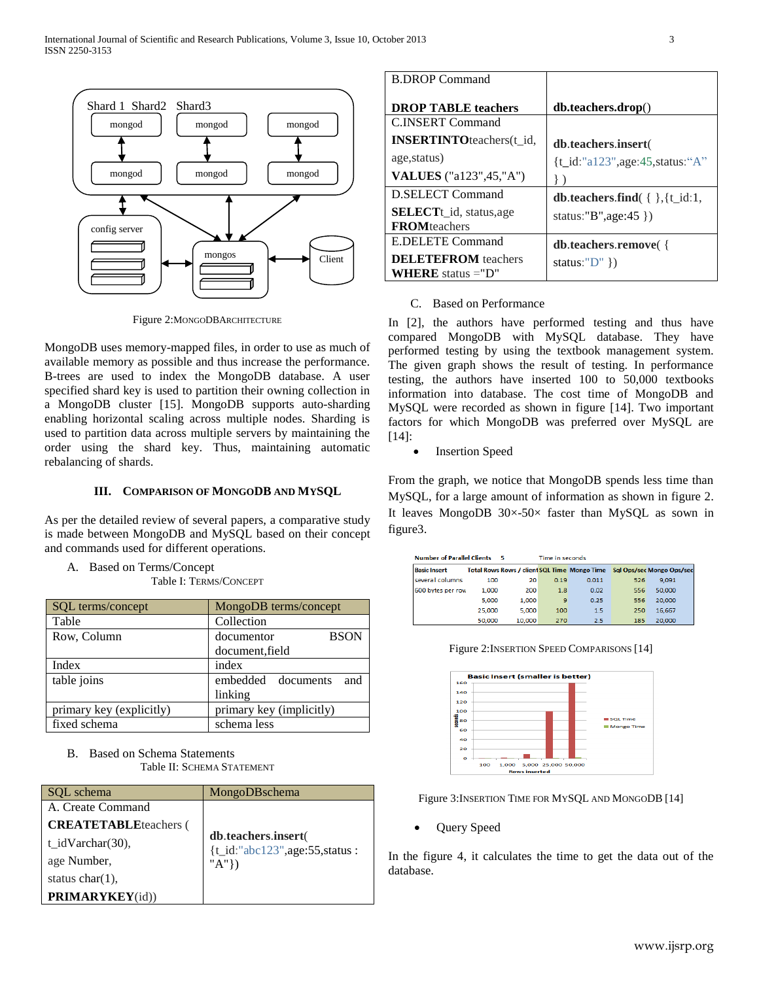

Figure 2:MONGODBARCHITECTURE

MongoDB uses memory-mapped files, in order to use as much of available memory as possible and thus increase the performance. B-trees are used to index the MongoDB database. A user specified shard key is used to partition their owning collection in a MongoDB cluster [15]. MongoDB supports auto-sharding enabling horizontal scaling across multiple nodes. Sharding is used to partition data across multiple servers by maintaining the order using the shard key. Thus, maintaining automatic rebalancing of shards.

# **III. COMPARISON OF MONGODB AND MYSQL**

As per the detailed review of several papers, a comparative study is made between MongoDB and MySQL based on their concept and commands used for different operations.

A. Based on Terms/Concept

Table I: TERMS/CONCEPT

| <b>SQL</b> terms/concept | MongoDB terms/concept     |  |  |  |
|--------------------------|---------------------------|--|--|--|
| Table                    | Collection                |  |  |  |
| Row, Column              | <b>BSON</b><br>documentor |  |  |  |
|                          | document, field           |  |  |  |
| Index                    | index                     |  |  |  |
| table joins              | embedded documents<br>and |  |  |  |
|                          | linking                   |  |  |  |
| primary key (explicitly) | primary key (implicitly)  |  |  |  |
| fixed schema             | schema less               |  |  |  |

B. Based on Schema Statements Table II: SCHEMA STATEMENT

| SOL schema                    | MongoDBschema                                        |
|-------------------------------|------------------------------------------------------|
| A. Create Command             |                                                      |
| <b>CREATETABLE</b> teachers ( |                                                      |
| $t_idVarchar(30)$ ,           | db.teachers.insert(<br>{t_id:"abc123",age:55,status: |
| age Number,                   | "A"})                                                |
| status $char(1)$ ,            |                                                      |
| <b>PRIMARYKEY</b> (id))       |                                                      |

| <b>B.DROP Command</b>             |                                                    |
|-----------------------------------|----------------------------------------------------|
| <b>DROP TABLE teachers</b>        | db.teachers.drop()                                 |
| C.INSERT Command                  |                                                    |
| <b>INSERTINTO</b> teachers (t id. | db.teachers.insert(                                |
| age, status)                      | $\{\underline{t}_id$ :"a123", age: 45, status: "A" |
| VALUES ("a123", 45, "A")          |                                                    |
| <b>D.SELECT Command</b>           | <b>db.teachers.find</b> ( $\{ \}$ , {t_id:1,       |
| <b>SELECT</b> t_id, status,age    | status:" $B$ ", age: 45 })                         |
| <b>FROM</b> teachers              |                                                    |
| <b>E.DELETE Command</b>           | <b>db.teachers.remove</b>                          |
| <b>DELETEFROM</b> teachers        | status:" $D$ " })                                  |
| <b>WHERE</b> status $=$ "D"       |                                                    |

## C. Based on Performance

In [2], the authors have performed testing and thus have compared MongoDB with MySQL database. They have performed testing by using the textbook management system. The given graph shows the result of testing. In performance testing, the authors have inserted 100 to 50,000 textbooks information into database. The cost time of MongoDB and MySQL were recorded as shown in figure [14]. Two important factors for which MongoDB was preferred over MySQL are [14]:

• Insertion Speed

From the graph, we notice that MongoDB spends less time than MySQL, for a large amount of information as shown in figure 2. It leaves MongoDB  $30 \times -50 \times$  faster than MySQL as sown in figure3.

| <b>Number of Parallel Clients</b><br>- 5 |        |        | Time in seconds |       |     |                                                                        |
|------------------------------------------|--------|--------|-----------------|-------|-----|------------------------------------------------------------------------|
| <b>Basic Insert</b>                      |        |        |                 |       |     | Total Rows Rows / client SQL Time Mongo Time Sql Ops/sec Mongo Ops/sec |
| several columns                          | 100    | 20     | 0.19            | 0.011 | 526 | 9.091                                                                  |
| 600 bytes per row                        | 1,000  | 200    | 1.8             | 0.02  | 556 | 50,000                                                                 |
|                                          | 5.000  | 1,000  | 9               | 0.25  | 556 | 20,000                                                                 |
|                                          | 25,000 | 5,000  | 100             | 1.5   | 250 | 16,667                                                                 |
|                                          | 50,000 | 10,000 | 270             | 25    | 185 | 20,000                                                                 |

Figure 2:INSERTION SPEED COMPARISONS [14]



Figure 3:INSERTION TIME FOR MYSQL AND MONGODB [14]

Query Speed

In the figure 4, it calculates the time to get the data out of the database.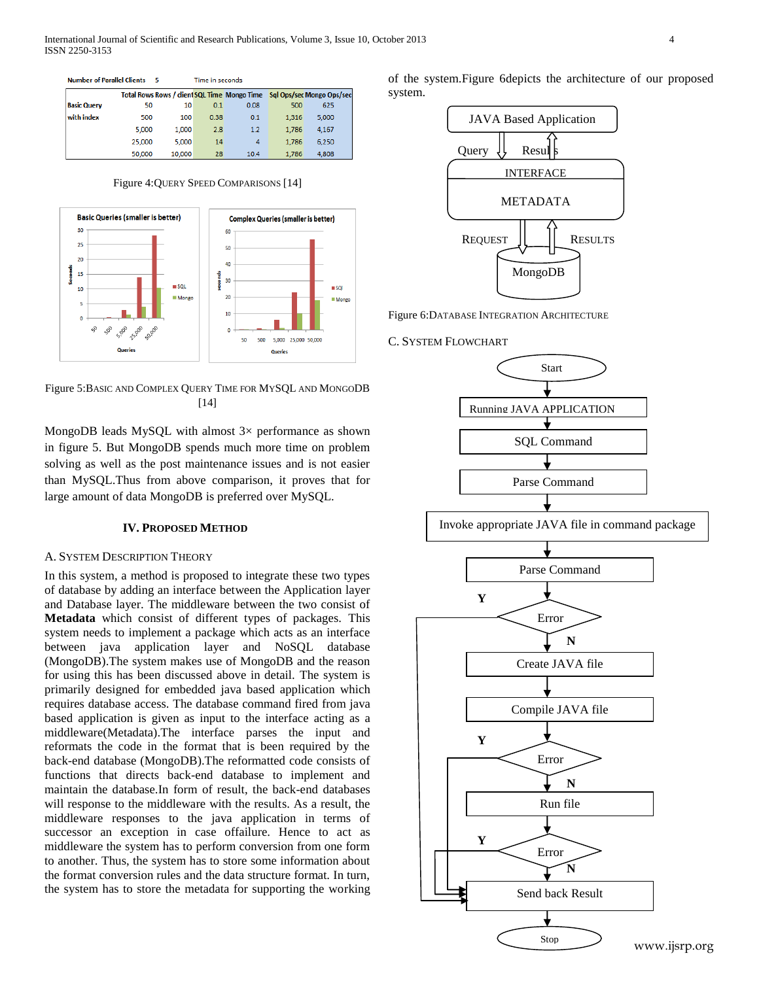**Number of Parallel Clients 5** Time in seconds

|                    |        |        |      |      |       | Total Rows Rows / client SQL Time Mongo Time Sql Ops/sec Mongo Ops/sec |
|--------------------|--------|--------|------|------|-------|------------------------------------------------------------------------|
| <b>Basic Query</b> | 50     | 10     | 0.1  | 0.08 | 500   | 625                                                                    |
| with index         | 500    | 100    | 0.38 | 0.1  | 1.316 | 5.000                                                                  |
|                    | 5.000  | 1.000  | 2.8  | 1.2  | 1.786 | 4.167                                                                  |
|                    | 25,000 | 5,000  | 14   | 4    | 1.786 | 6.250                                                                  |
|                    | 50,000 | 10,000 | 28   | 10.4 | 1.786 | 4.808                                                                  |

Figure 4:QUERY SPEED COMPARISONS [14]



Figure 5:BASIC AND COMPLEX QUERY TIME FOR MYSQL AND MONGODB [14]

MongoDB leads MySQL with almost  $3\times$  performance as shown in figure 5. But MongoDB spends much more time on problem solving as well as the post maintenance issues and is not easier than MySQL.Thus from above comparison, it proves that for large amount of data MongoDB is preferred over MySQL.

### **IV. PROPOSED METHOD**

## A. SYSTEM DESCRIPTION THEORY

In this system, a method is proposed to integrate these two types of database by adding an interface between the Application layer and Database layer. The middleware between the two consist of **Metadata** which consist of different types of packages. This system needs to implement a package which acts as an interface between java application layer and NoSQL database (MongoDB).The system makes use of MongoDB and the reason for using this has been discussed above in detail. The system is primarily designed for embedded java based application which requires database access. The database command fired from java based application is given as input to the interface acting as a middleware(Metadata).The interface parses the input and reformats the code in the format that is been required by the back-end database (MongoDB).The reformatted code consists of functions that directs back-end database to implement and maintain the database.In form of result, the back-end databases will response to the middleware with the results. As a result, the middleware responses to the java application in terms of successor an exception in case offailure. Hence to act as middleware the system has to perform conversion from one form to another. Thus, the system has to store some information about the format conversion rules and the data structure format. In turn, the system has to store the metadata for supporting the working of the system.Figure 6depicts the architecture of our proposed system.



Figure 6:DATABASE INTEGRATION ARCHITECTURE

## C. SYSTEM FLOWCHART